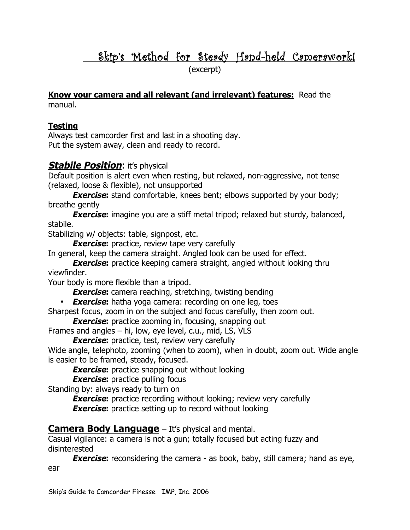# Skip's Method for Steady Hand-held Camerawork!

(excerpt)

**Know your camera and all relevant (and irrelevant) features:** Read the manual.

#### **Testing**

Always test camcorder first and last in a shooting day. Put the system away, clean and ready to record.

#### **Stabile Position:** it's physical

Default position is alert even when resting, but relaxed, non-aggressive, not tense (relaxed, loose & flexible), not unsupported

**Exercise:** stand comfortable, knees bent; elbows supported by your body; breathe gently

**Exercise:** imagine you are a stiff metal tripod; relaxed but sturdy, balanced, stabile.

Stabilizing w/ objects: table, signpost, etc.

**Exercise:** practice, review tape very carefully

In general, keep the camera straight. Angled look can be used for effect.

**Exercise:** practice keeping camera straight, angled without looking thru viewfinder.

Your body is more flexible than a tripod.

**Exercise:** camera reaching, stretching, twisting bending

• **Exercise:** hatha yoga camera: recording on one leg, toes

Sharpest focus, zoom in on the subject and focus carefully, then zoom out.

**Exercise:** practice zooming in, focusing, snapping out

Frames and angles – hi, low, eye level, c.u., mid, LS, VLS

**Exercise:** practice, test, review very carefully

Wide angle, telephoto, zooming (when to zoom), when in doubt, zoom out. Wide angle is easier to be framed, steady, focused.

**Exercise:** practice snapping out without looking

**Exercise:** practice pulling focus

Standing by: always ready to turn on

**Exercise:** practice recording without looking; review very carefully **Exercise:** practice setting up to record without looking

### **Camera Body Language** – It's physical and mental.

Casual vigilance: a camera is not a gun; totally focused but acting fuzzy and disinterested

**Exercise:** reconsidering the camera - as book, baby, still camera; hand as eye, ear